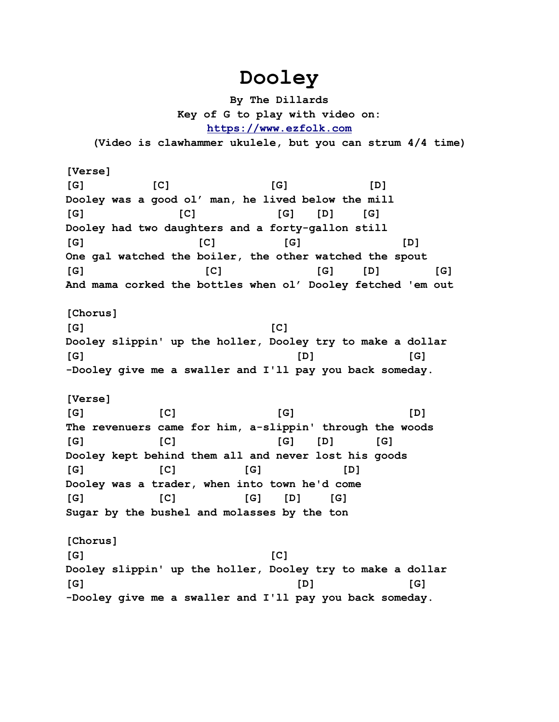## **Dooley**

**By The Dillards Key of G to play with video on: [https://www.ezfolk.com](https://www.ezfolk.com/)**

**(Video is clawhammer ukulele, but you can strum 4/4 time)**

**[Verse] [G] [C] [G] [D] Dooley was a good ol' man, he lived below the mill [G] [C] [G] [D] [G] Dooley had two daughters and a forty-gallon still [G] [C] [G] [D] One gal watched the boiler, the other watched the spout [G] [C] [G] [D] [G] And mama corked the bottles when ol' Dooley fetched 'em out [Chorus] [G] [C] Dooley slippin' up the holler, Dooley try to make a dollar [G] [D] [G] -Dooley give me a swaller and I'll pay you back someday. [Verse] [G] [C] [G] [D] The revenuers came for him, a-slippin' through the woods [G] [C] [G] [D] [G] Dooley kept behind them all and never lost his goods [G] [C] [G] [D] Dooley was a trader, when into town he'd come [G] [C] [G] [D] [G] Sugar by the bushel and molasses by the ton [Chorus] [G] [C] Dooley slippin' up the holler, Dooley try to make a dollar [G] [D] [G] -Dooley give me a swaller and I'll pay you back someday.**